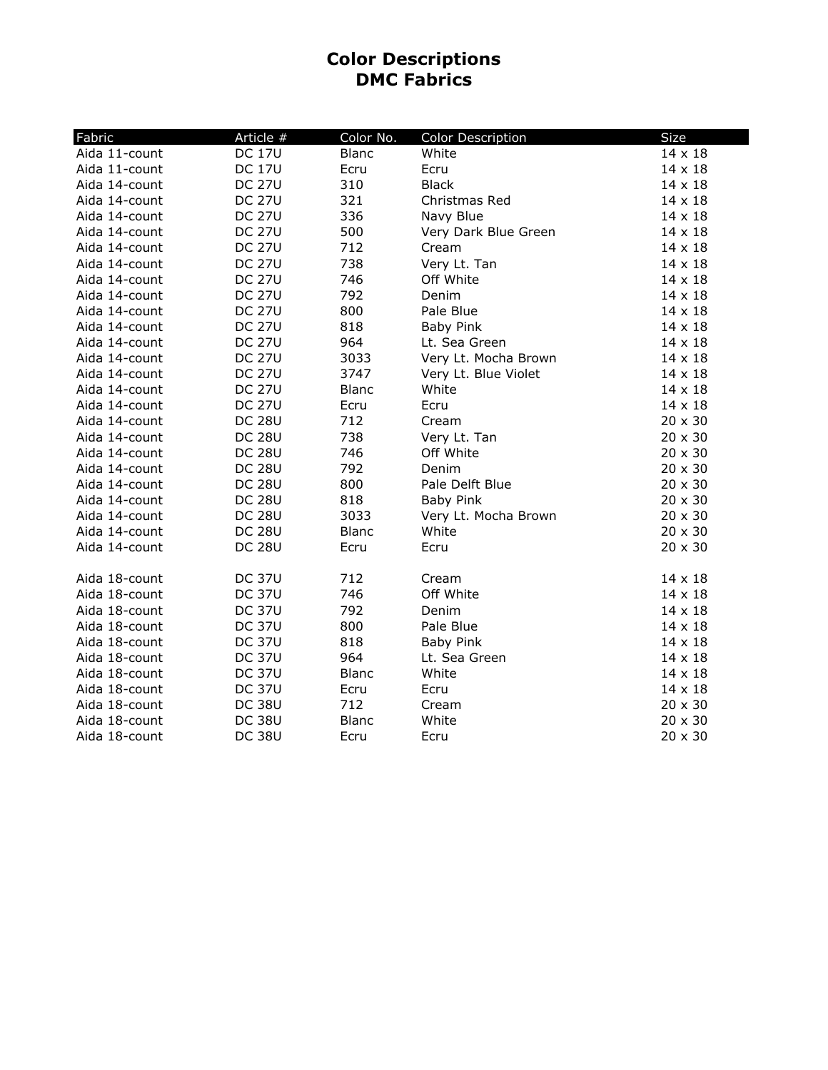## **Color Descriptions DMC Fabrics**

| Fabric        | Article #     | Color No.    | <b>Color Description</b> | <b>Size</b>    |
|---------------|---------------|--------------|--------------------------|----------------|
| Aida 11-count | <b>DC 17U</b> | <b>Blanc</b> | White                    | $14 \times 18$ |
| Aida 11-count | <b>DC 17U</b> | Ecru         | Ecru                     | $14 \times 18$ |
| Aida 14-count | <b>DC 27U</b> | 310          | <b>Black</b>             | $14 \times 18$ |
| Aida 14-count | <b>DC 27U</b> | 321          | Christmas Red            | $14 \times 18$ |
| Aida 14-count | <b>DC 27U</b> | 336          | Navy Blue                | $14 \times 18$ |
| Aida 14-count | <b>DC 27U</b> | 500          | Very Dark Blue Green     | 14 x 18        |
| Aida 14-count | <b>DC 27U</b> | 712          | Cream                    | $14 \times 18$ |
| Aida 14-count | <b>DC 27U</b> | 738          | Very Lt. Tan             | $14 \times 18$ |
| Aida 14-count | <b>DC 27U</b> | 746          | Off White                | $14 \times 18$ |
| Aida 14-count | <b>DC 27U</b> | 792          | Denim                    | 14 x 18        |
| Aida 14-count | <b>DC 27U</b> | 800          | Pale Blue                | 14 x 18        |
| Aida 14-count | <b>DC 27U</b> | 818          | <b>Baby Pink</b>         | 14 x 18        |
| Aida 14-count | <b>DC 27U</b> | 964          | Lt. Sea Green            | 14 x 18        |
| Aida 14-count | <b>DC 27U</b> | 3033         | Very Lt. Mocha Brown     | 14 x 18        |
| Aida 14-count | <b>DC 27U</b> | 3747         | Very Lt. Blue Violet     | $14 \times 18$ |
| Aida 14-count | <b>DC 27U</b> | <b>Blanc</b> | White                    | $14 \times 18$ |
| Aida 14-count | <b>DC 27U</b> | Ecru         | Ecru                     | 14 x 18        |
| Aida 14-count | <b>DC 28U</b> | 712          | Cream                    | $20 \times 30$ |
| Aida 14-count | <b>DC 28U</b> | 738          | Very Lt. Tan             | $20 \times 30$ |
| Aida 14-count | <b>DC 28U</b> | 746          | Off White                | $20 \times 30$ |
| Aida 14-count | <b>DC 28U</b> | 792          | Denim                    | 20 x 30        |
| Aida 14-count | <b>DC 28U</b> | 800          | Pale Delft Blue          | $20 \times 30$ |
| Aida 14-count | <b>DC 28U</b> | 818          | <b>Baby Pink</b>         | $20 \times 30$ |
| Aida 14-count | <b>DC 28U</b> | 3033         | Very Lt. Mocha Brown     | $20 \times 30$ |
| Aida 14-count | <b>DC 28U</b> | <b>Blanc</b> | White                    | $20 \times 30$ |
| Aida 14-count | <b>DC 28U</b> | Ecru         | Ecru                     | $20 \times 30$ |
| Aida 18-count | <b>DC 37U</b> | 712          | Cream                    | 14 x 18        |
| Aida 18-count | <b>DC 37U</b> | 746          | Off White                | $14 \times 18$ |
| Aida 18-count | <b>DC 37U</b> | 792          | Denim                    | $14 \times 18$ |
| Aida 18-count | <b>DC 37U</b> | 800          | Pale Blue                | 14 x 18        |
| Aida 18-count | <b>DC 37U</b> | 818          | <b>Baby Pink</b>         | 14 x 18        |
| Aida 18-count | <b>DC 37U</b> | 964          | Lt. Sea Green            | 14 x 18        |
| Aida 18-count | <b>DC 37U</b> | <b>Blanc</b> | White                    | $14 \times 18$ |
| Aida 18-count | <b>DC 37U</b> | Ecru         | Ecru                     | 14 x 18        |
| Aida 18-count | <b>DC 38U</b> | 712          | Cream                    | 20 x 30        |
| Aida 18-count | <b>DC 38U</b> | <b>Blanc</b> | White                    | 20 x 30        |
| Aida 18-count | <b>DC 38U</b> | Ecru         | Ecru                     | $20 \times 30$ |